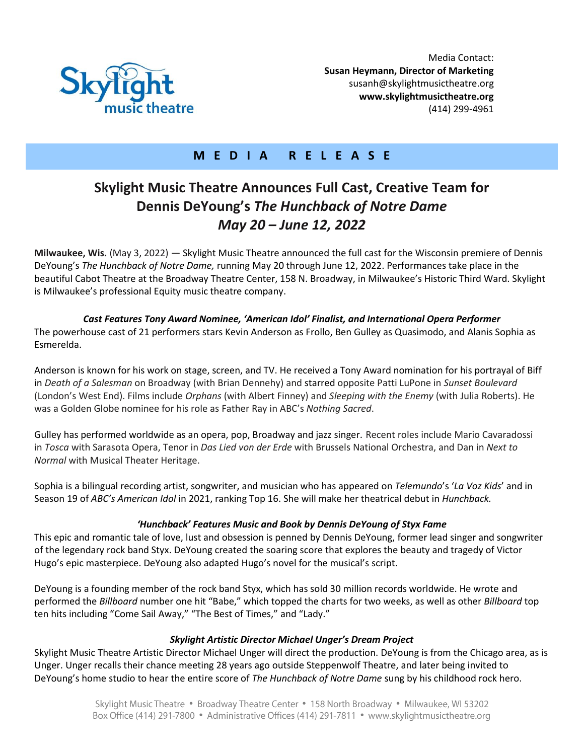

## **M E D I A R E L E A S E**

# **Skylight Music Theatre Announces Full Cast, Creative Team for Dennis DeYoung's** *The Hunchback of Notre Dame May 20 – June 12, 2022*

**Milwaukee, Wis.** (May 3, 2022) — Skylight Music Theatre announced the full cast for the Wisconsin premiere of Dennis DeYoung's *The Hunchback of Notre Dame,* running May 20 through June 12, 2022. Performances take place in the beautiful Cabot Theatre at the Broadway Theatre Center, 158 N. Broadway, in Milwaukee's Historic Third Ward. Skylight is Milwaukee's professional Equity music theatre company.

### *Cast Features Tony Award Nominee, 'American Idol' Finalist, and International Opera Performer*

The powerhouse cast of 21 performers stars Kevin Anderson as Frollo, Ben Gulley as Quasimodo, and Alanis Sophia as Esmerelda.

Anderson is known for his work on stage, screen, and TV. He received a Tony Award nomination for his portrayal of Biff in *Death of a Salesman* on Broadway (with Brian Dennehy) and starred opposite Patti LuPone in *Sunset Boulevard* (London's West End). Films include *Orphans* (with Albert Finney) and *Sleeping with the Enemy* (with Julia Roberts). He was a Golden Globe nominee for his role as Father Ray in ABC's *Nothing Sacred*.

Gulley has performed worldwide as an opera, pop, Broadway and jazz singer. Recent roles include Mario Cavaradossi in *Tosca* with Sarasota Opera, Tenor in *Das Lied von der Erde* with Brussels National Orchestra, and Dan in *Next to Normal* with Musical Theater Heritage.

Sophia is a bilingual recording artist, songwriter, and musician who has appeared on *Telemundo*'s '*La Voz Kids*' and in Season 19 of *ABC's American Idol* in 2021, ranking Top 16. She will make her theatrical debut in *Hunchback.*

### *'Hunchback' Features Music and Book by Dennis DeYoung of Styx Fame*

This epic and romantic tale of love, lust and obsession is penned by Dennis DeYoung, former lead singer and songwriter of the legendary rock band Styx. DeYoung created the soaring score that explores the beauty and tragedy of Victor Hugo's epic masterpiece. DeYoung also adapted Hugo's novel for the musical's script.

DeYoung is a founding member of the rock band Styx, which has sold 30 million records worldwide. He wrote and performed the *Billboard* number one hit "Babe," which topped the charts for two weeks, as well as other *Billboard* top ten hits including "Come Sail Away," "The Best of Times," and "Lady."

### *Skylight Artistic Director Michael Unger's Dream Project*

Skylight Music Theatre Artistic Director Michael Unger will direct the production. DeYoung is from the Chicago area, as is Unger. Unger recalls their chance meeting 28 years ago outside Steppenwolf Theatre, and later being invited to DeYoung's home studio to hear the entire score of *The Hunchback of Notre Dame* sung by his childhood rock hero.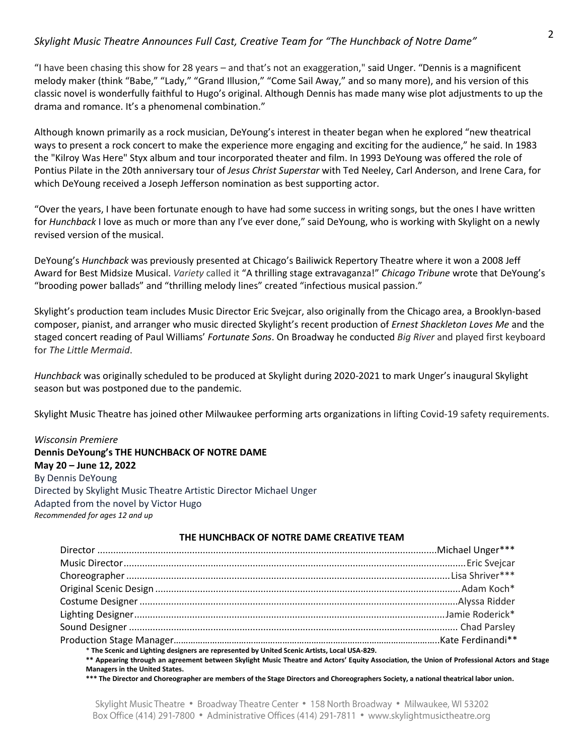### *Skylight Music Theatre Announces Full Cast, Creative Team for "The Hunchback of Notre Dame"*

"I have been chasing this show for 28 years – and that's not an exaggeration," said Unger. "Dennis is a magnificent melody maker (think "Babe," "Lady," "Grand Illusion," "Come Sail Away," and so many more), and his version of this classic novel is wonderfully faithful to Hugo's original. Although Dennis has made many wise plot adjustments to up the drama and romance. It's a phenomenal combination."

Although known primarily as a rock musician, DeYoung's interest in theater began when he explored "new theatrical ways to present a rock concert to make the experience more engaging and exciting for the audience," he said. In 1983 the "Kilroy Was Here" Styx album and tour incorporated theater and film. In 1993 DeYoung was offered the role of Pontius Pilate in the 20th anniversary tour of *Jesus Christ Superstar* with Ted Neeley, Carl Anderson, and Irene Cara, for which DeYoung received a Joseph Jefferson nomination as best supporting actor.

"Over the years, I have been fortunate enough to have had some success in writing songs, but the ones I have written for *Hunchback* I love as much or more than any I've ever done," said DeYoung, who is working with Skylight on a newly revised version of the musical.

DeYoung's *Hunchback* was previously presented at Chicago's Bailiwick Repertory Theatre where it won a 2008 Jeff Award for Best Midsize Musical. *Variety* called it "A thrilling stage extravaganza!" *Chicago Tribune* wrote that DeYoung's "brooding power ballads" and "thrilling melody lines" created "infectious musical passion."

Skylight's production team includes Music Director Eric Svejcar, also originally from the Chicago area, a Brooklyn-based composer, pianist, and arranger who music directed Skylight's recent production of *Ernest Shackleton Loves Me* and the staged concert reading of Paul Williams' *Fortunate Sons*. On Broadway he conducted *Big River* and played first keyboard for *The Little Mermaid*.

*Hunchback* was originally scheduled to be produced at Skylight during 2020-2021 to mark Unger's inaugural Skylight season but was postponed due to the pandemic.

Skylight Music Theatre has joined other Milwaukee performing arts organizations in lifting Covid-19 safety requirements.

### *Wisconsin Premiere*

**Dennis DeYoung's THE HUNCHBACK OF NOTRE DAME May 20 – June 12, 2022** By Dennis DeYoung Directed by Skylight Music Theatre Artistic Director Michael Unger Adapted from the novel by Victor Hugo *Recommended for ages 12 and up*

### **THE HUNCHBACK OF NOTRE DAME CREATIVE TEAM**

| * The Scenic and Lighting designers are represented by United Scenic Artists, Local USA-829.                                                |  |
|---------------------------------------------------------------------------------------------------------------------------------------------|--|
| ** Appearing through an agreement between Skylight Music Theatre and Actors' Equity Association, the Union of Professional Actors and Stage |  |
| <b>Managers in the United States.</b>                                                                                                       |  |
| *** The Director and Choreographer are members of the Stage Directors and Choreographers Society, a national theatrical labor union.        |  |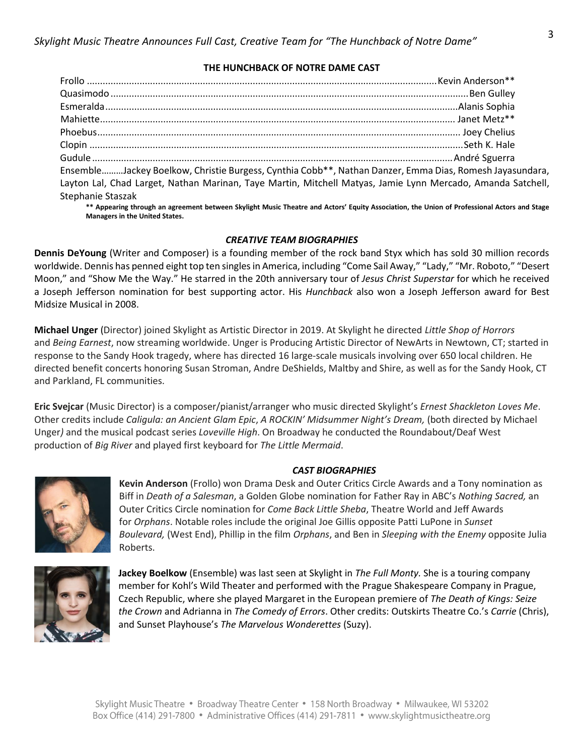#### **THE HUNCHBACK OF NOTRE DAME CAST**

|                          | EnsembleJackey Boelkow, Christie Burgess, Cynthia Cobb**, Nathan Danzer, Emma Dias, Romesh Jayasundara,                                     |
|--------------------------|---------------------------------------------------------------------------------------------------------------------------------------------|
|                          | Layton Lal, Chad Larget, Nathan Marinan, Taye Martin, Mitchell Matyas, Jamie Lynn Mercado, Amanda Satchell,                                 |
| <b>Stephanie Staszak</b> |                                                                                                                                             |
|                          | ** Appearing through an agreement between Skylight Music Theatre and Actors' Equity Association, the Union of Professional Actors and Stage |

**\*\* Appearing through an agreement between Skylight Music Theatre and Actors' Equity Association, the Union of Professional Actors and Stage Managers in the United States.**

### *CREATIVE TEAM BIOGRAPHIES*

**Dennis DeYoung** (Writer and Composer) is a founding member of the rock band Styx which has sold 30 million records worldwide. Dennis has penned eight top ten singles in America, including "Come Sail Away," "Lady," "Mr. Roboto," "Desert Moon," and "Show Me the Way." He starred in the 20th anniversary tour of *Jesus Christ Superstar* for which he received a Joseph Jefferson nomination for best supporting actor. His *Hunchback* also won a Joseph Jefferson award for Best Midsize Musical in 2008.

**Michael Unger** (Director) joined Skylight as Artistic Director in 2019. At Skylight he directed *Little Shop of Horrors* and *Being Earnest*, now streaming worldwide. Unger is Producing Artistic Director of NewArts in Newtown, CT; started in response to the Sandy Hook tragedy, where has directed 16 large-scale musicals involving over 650 local children. He directed benefit concerts honoring Susan Stroman, Andre DeShields, Maltby and Shire, as well as for the Sandy Hook, CT and Parkland, FL communities.

**Eric Svejcar** (Music Director) is a composer/pianist/arranger who music directed Skylight's *Ernest Shackleton Loves Me*. Other credits include *Caligula: an Ancient Glam Epic*, *A ROCKIN' Midsummer Night's Dream,* (both directed by Michael Unger*)* and the musical podcast series *Loveville High*. On Broadway he conducted the Roundabout/Deaf West production of *Big River* and played first keyboard for *The Little Mermaid*.

### *CAST BIOGRAPHIES*



**Kevin Anderson** (Frollo) won Drama Desk and Outer Critics Circle Awards and a Tony nomination as Biff in *Death of a Salesman*, a Golden Globe nomination for Father Ray in ABC's *Nothing Sacred,* an Outer Critics Circle nomination for *Come Back Little Sheba*, Theatre World and Jeff Awards for *Orphans*. Notable roles include the original Joe Gillis opposite Patti LuPone in *Sunset Boulevard,* (West End), Phillip in the film *Orphans*, and Ben in *Sleeping with the Enemy* opposite Julia Roberts.



**Jackey Boelkow** (Ensemble) was last seen at Skylight in *The Full Monty.* She is a touring company member for Kohl's Wild Theater and performed with the Prague Shakespeare Company in Prague, Czech Republic, where she played Margaret in the European premiere of *The Death of Kings: Seize the Crown* and Adrianna in *The Comedy of Errors*. Other credits: Outskirts Theatre Co.'s *Carrie* (Chris), and Sunset Playhouse's *The Marvelous Wonderettes* (Suzy).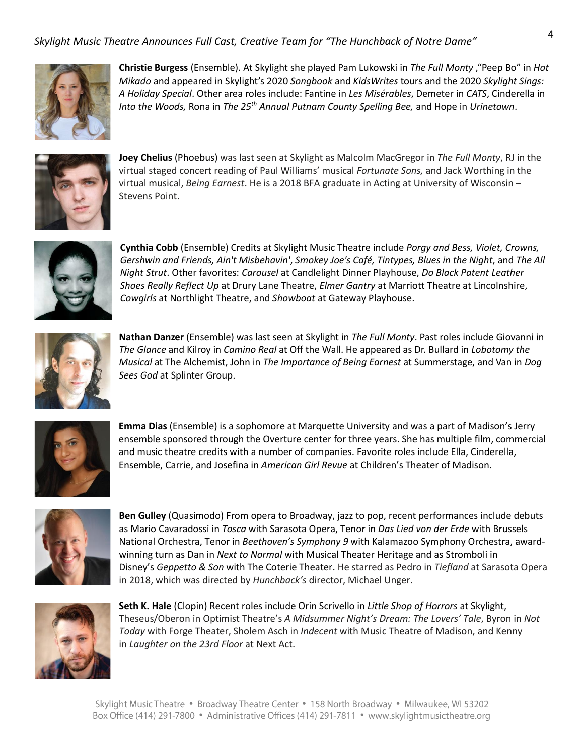### *Skylight Music Theatre Announces Full Cast, Creative Team for "The Hunchback of Notre Dame"*



**Christie Burgess** (Ensemble). At Skylight she played Pam Lukowski in *The Full Monty* ,"Peep Bo" in *Hot Mikado* and appeared in Skylight's 2020 *Songbook* and *KidsWrites* tours and the 2020 *Skylight Sings: A Holiday Special*. Other area roles include: Fantine in *Les Misérables*, Demeter in *CATS*, Cinderella in *Into the Woods,* Rona in *The 25th Annual Putnam County Spelling Bee,* and Hope in *Urinetown*.



**Joey Chelius** (Phoebus) was last seen at Skylight as Malcolm MacGregor in *The Full Monty*, RJ in the virtual staged concert reading of Paul Williams' musical *Fortunate Sons,* and Jack Worthing in the virtual musical, *Being Earnest*. He is a 2018 BFA graduate in Acting at University of Wisconsin – Stevens Point.



**Cynthia Cobb** (Ensemble) Credits at Skylight Music Theatre include *Porgy and Bess, Violet, Crowns, Gershwin and Friends, Ain't Misbehavin'*, *Smokey Joe's Café, Tintypes, Blues in the Night*, and *The All Night Strut*. Other favorites: *Carousel* at Candlelight Dinner Playhouse, *Do Black Patent Leather Shoes Really Reflect Up* at Drury Lane Theatre, *Elmer Gantry* at Marriott Theatre at Lincolnshire, *Cowgirls* at Northlight Theatre, and *Showboat* at Gateway Playhouse.



**Nathan Danzer** (Ensemble) was last seen at Skylight in *The Full Monty*. Past roles include Giovanni in *The Glance* and Kilroy in *Camino Real* at Off the Wall. He appeared as Dr. Bullard in *Lobotomy the Musical* at The Alchemist, John in *The Importance of Being Earnest* at Summerstage, and Van in *Dog Sees God* at Splinter Group.



**Emma Dias** (Ensemble) is a sophomore at Marquette University and was a part of Madison's Jerry ensemble sponsored through the Overture center for three years. She has multiple film, commercial and music theatre credits with a number of companies. Favorite roles include Ella, Cinderella, Ensemble, Carrie, and Josefina in *American Girl Revue* at Children's Theater of Madison.



**Ben Gulley** (Quasimodo) From opera to Broadway, jazz to pop, recent performances include debuts as Mario Cavaradossi in *Tosca* with Sarasota Opera, Tenor in *Das Lied von der Erde* with Brussels National Orchestra, Tenor in *Beethoven's Symphony 9* with Kalamazoo Symphony Orchestra, awardwinning turn as Dan in *Next to Normal* with Musical Theater Heritage and as Stromboli in Disney's *Geppetto & Son* with The Coterie Theater. He starred as Pedro in *Tiefland* at Sarasota Opera in 2018, which was directed by *Hunchback's* director, Michael Unger.



**Seth K. Hale** (Clopin) Recent roles include Orin Scrivello in *Little Shop of Horrors* at Skylight, Theseus/Oberon in Optimist Theatre's *A Midsummer Night's Dream: The Lovers' Tale*, Byron in *Not Today* with Forge Theater, Sholem Asch in *Indecent* with Music Theatre of Madison, and Kenny in *Laughter on the 23rd Floor* at Next Act.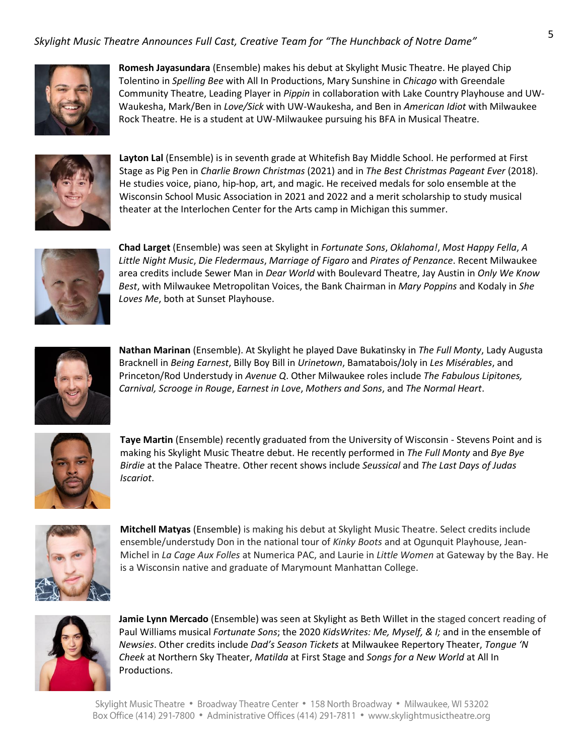### *Skylight Music Theatre Announces Full Cast, Creative Team for "The Hunchback of Notre Dame"*



**Romesh Jayasundara** (Ensemble) makes his debut at Skylight Music Theatre. He played Chip Tolentino in *Spelling Bee* with All In Productions, Mary Sunshine in *Chicago* with Greendale Community Theatre, Leading Player in *Pippin* in collaboration with Lake Country Playhouse and UW-Waukesha, Mark/Ben in *Love/Sick* with UW-Waukesha, and Ben in *American Idiot* with Milwaukee Rock Theatre. He is a student at UW-Milwaukee pursuing his BFA in Musical Theatre.



**Layton Lal** (Ensemble) is in seventh grade at Whitefish Bay Middle School. He performed at First Stage as Pig Pen in *Charlie Brown Christmas* (2021) and in *The Best Christmas Pageant Ever* (2018). He studies voice, piano, hip-hop, art, and magic. He received medals for solo ensemble at the Wisconsin School Music Association in 2021 and 2022 and a merit scholarship to study musical theater at the Interlochen Center for the Arts camp in Michigan this summer.



**Chad Larget** (Ensemble) was seen at Skylight in *Fortunate Sons*, *Oklahoma!*, *Most Happy Fella*, *A Little Night Music*, *Die Fledermaus*, *Marriage of Figaro* and *Pirates of Penzance*. Recent Milwaukee area credits include Sewer Man in *Dear World* with Boulevard Theatre, Jay Austin in *Only We Know Best*, with Milwaukee Metropolitan Voices, the Bank Chairman in *Mary Poppins* and Kodaly in *She Loves Me*, both at Sunset Playhouse.



**Nathan Marinan** (Ensemble). At Skylight he played Dave Bukatinsky in *The Full Monty*, Lady Augusta Bracknell in *Being Earnest*, Billy Boy Bill in *Urinetown*, Bamatabois/Joly in *Les Misérables*, and Princeton/Rod Understudy in *Avenue Q*. Other Milwaukee roles include *The Fabulous Lipitones, Carnival, Scrooge in Rouge*, *Earnest in Love*, *Mothers and Sons*, and *The Normal Heart*.



**Taye Martin** (Ensemble) recently graduated from the University of Wisconsin - Stevens Point and is making his Skylight Music Theatre debut. He recently performed in *The Full Monty* and *Bye Bye Birdie* at the Palace Theatre. Other recent shows include *Seussical* and *The Last Days of Judas Iscariot*.



**Mitchell Matyas** (Ensemble) is making his debut at Skylight Music Theatre. Select credits include ensemble/understudy Don in the national tour of *Kinky Boots* and at Ogunquit Playhouse, Jean-Michel in *La Cage Aux Folles* at Numerica PAC, and Laurie in *Little Women* at Gateway by the Bay. He is a Wisconsin native and graduate of Marymount Manhattan College.



**Jamie Lynn Mercado** (Ensemble) was seen at Skylight as Beth Willet in the staged concert reading of Paul Williams musical *Fortunate Sons*; the 2020 *KidsWrites: Me, Myself, & I;* and in the ensemble of *Newsies*. Other credits include *Dad's Season Tickets* at Milwaukee Repertory Theater, *Tongue 'N Cheek* at Northern Sky Theater, *Matilda* at First Stage and *Songs for a New World* at All In Productions.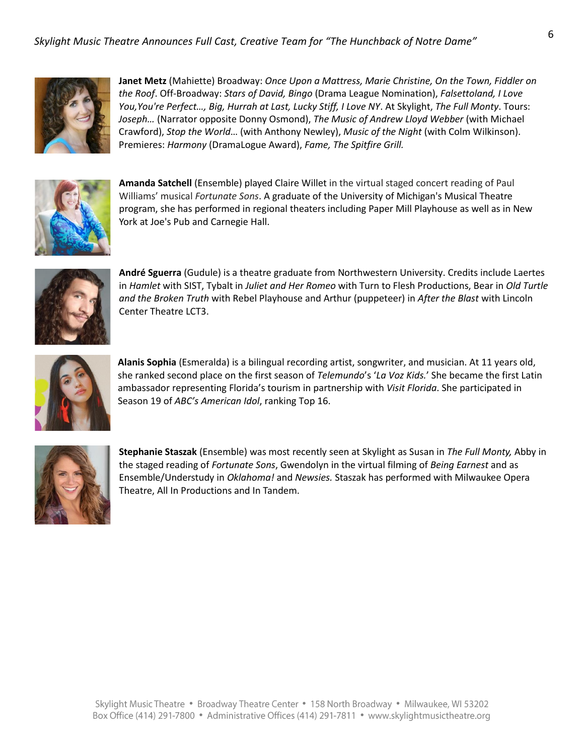

**Janet Metz** (Mahiette) Broadway: *Once Upon a Mattress, Marie Christine, On the Town, Fiddler on the Roof*. Off-Broadway: *Stars of David, Bingo* (Drama League Nomination), *Falsettoland, I Love You,You're Perfect…, Big, Hurrah at Last, Lucky Stiff, I Love NY*. At Skylight, *The Full Monty*. Tours: *Joseph…* (Narrator opposite Donny Osmond), *The Music of Andrew Lloyd Webber* (with Michael Crawford), *Stop the World*… (with Anthony Newley), *Music of the Night* (with Colm Wilkinson). Premieres: *Harmony* (DramaLogue Award), *Fame, The Spitfire Grill.*



**Amanda Satchell** (Ensemble) played Claire Willet in the virtual staged concert reading of Paul Williams' musical *Fortunate Sons*. A graduate of the University of Michigan's Musical Theatre program, she has performed in regional theaters including Paper Mill Playhouse as well as in New York at Joe's Pub and Carnegie Hall.



**André Sguerra** (Gudule) is a theatre graduate from Northwestern University. Credits include Laertes in *Hamlet* with SIST, Tybalt in *Juliet and Her Romeo* with Turn to Flesh Productions, Bear in *Old Turtle and the Broken Truth* with Rebel Playhouse and Arthur (puppeteer) in *After the Blast* with Lincoln Center Theatre LCT3.



**Alanis Sophia** (Esmeralda) is a bilingual recording artist, songwriter, and musician. At 11 years old, she ranked second place on the first season of *Telemundo*'s '*La Voz Kids.*' She became the first Latin ambassador representing Florida's tourism in partnership with *Visit Florida*. She participated in Season 19 of *ABC's American Idol*, ranking Top 16.



**Stephanie Staszak** (Ensemble) was most recently seen at Skylight as Susan in *The Full Monty,* Abby in the staged reading of *Fortunate Sons*, Gwendolyn in the virtual filming of *Being Earnest* and as Ensemble/Understudy in *Oklahoma!* and *Newsies.* Staszak has performed with Milwaukee Opera Theatre, All In Productions and In Tandem.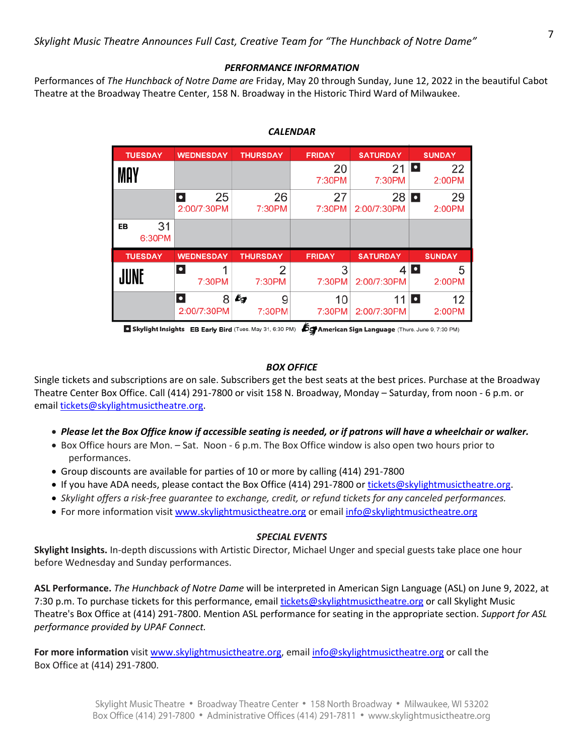### *PERFORMANCE INFORMATION*

Performances of *The Hunchback of Notre Dame are* Friday, May 20 through Sunday, June 12, 2022 in the beautiful Cabot Theatre at the Broadway Theatre Center, 158 N. Broadway in the Historic Third Ward of Milwaukee.

| <b>TUESDAY</b>     | <b>WEDNESDAY</b>               | <b>THURSDAY</b>   | <b>FRIDAY</b> | <b>SATURDAY</b>   | <b>SUNDAY</b>                     |
|--------------------|--------------------------------|-------------------|---------------|-------------------|-----------------------------------|
| MAY                |                                |                   | 20<br>7:30PM  | 21<br>7:30PM      | I۰<br>22<br>2:00PM                |
|                    | 25<br>$\bullet$<br>2:00/7:30PM | 26<br>7:30PM      | 27<br>7:30PM  | 28<br>2:00/7:30PM | 29<br>D<br>2:00PM                 |
| 31<br>EВ<br>6:30PM |                                |                   |               |                   |                                   |
| <b>TUESDAY</b>     | <b>WEDNESDAY</b>               | <b>THURSDAY</b>   | <b>FRIDAY</b> | <b>SATURDAY</b>   | <b>SUNDAY</b>                     |
| JUNE               | O<br>1<br>7:30PM               | 2<br>7:30PM       | 3<br>7:30PM   | 2:00/7:30PM       | $4$ $\blacksquare$<br>5<br>2:00PM |
|                    | $\bullet$<br>8<br>2:00/7:30PM  | bg<br>9<br>7:30PM | 10<br>7:30PM  | 11<br>2:00/7:30PM | Ŀ<br>12<br>2:00PM                 |

### *CALENDAR*

Skylight Insights EB Early Bird (Tues. May 31, 6:30 PM) (Sy American Sign Language (Thurs. June 9, 7:30 PM)

### *BOX OFFICE*

Single tickets and subscriptions are on sale. Subscribers get the best seats at the best prices. Purchase at the Broadway Theatre Center Box Office. Call (414) 291-7800 or visit 158 N. Broadway, Monday – Saturday, from noon - 6 p.m. or email [tickets@skylightmusictheatre.org.](mailto:tickets@skylightmusictheatre.org)

- *Please let the Box Office know if accessible seating is needed, or if patrons will have a wheelchair or walker.*
- Box Office hours are Mon. Sat. Noon 6 p.m. The Box Office window is also open two hours prior to performances.
- Group discounts are available for parties of 10 or more by calling (414) 291-7800
- If you have ADA needs, please contact the Box Office (414) 291-7800 o[r tickets@skylightmusictheatre.org.](mailto:tickets@skylightmusictheatre.org)
- *Skylight offers a risk-free guarantee to exchange, credit, or refund tickets for any canceled performances.*
- For more information visi[t www.skylightmusictheatre.org](http://www.skylightmusictheatre.org/) or emai[l info@skylightmusictheatre.org](mailto:info@skylightmusictheatre.org)

### *SPECIAL EVENTS*

**Skylight Insights.** In-depth discussions with Artistic Director, Michael Unger and special guests take place one hour before Wednesday and Sunday performances.

**ASL Performance.** *The Hunchback of Notre Dame* will be interpreted in American Sign Language (ASL) on June 9, 2022, at 7:30 p.m. To purchase tickets for this performance, email [tickets@skylightmusictheatre.org](mailto:tickets@skylightmusictheatre.org) or call Skylight Music Theatre's Box Office at (414) 291-7800. Mention ASL performance for seating in the appropriate section. *Support for ASL performance provided by UPAF Connect.*

**For more information** visit [www.skylightmusictheatre.org,](http://www.skylightmusictheatre.org/) emai[l info@skylightmusictheatre.org](mailto:info@skylightmusictheatre.org) or call the Box Office at (414) 291-7800.